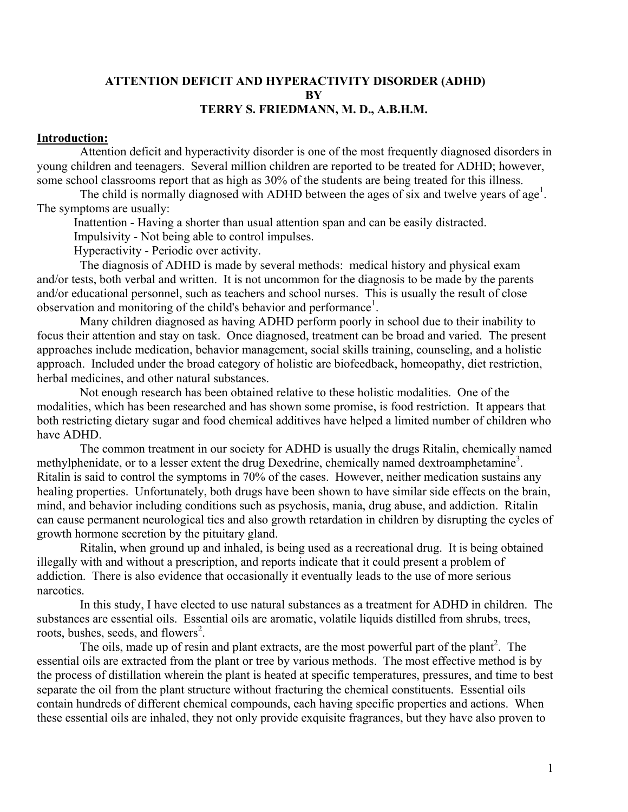### **ATTENTION DEFICIT AND HYPERACTIVITY DISORDER (ADHD) BY TERRY S. FRIEDMANN, M. D., A.B.H.M.**

#### **Introduction:**

 Attention deficit and hyperactivity disorder is one of the most frequently diagnosed disorders in young children and teenagers. Several million children are reported to be treated for ADHD; however, some school classrooms report that as high as 30% of the students are being treated for this illness.

The child is normally diagnosed with ADHD between the ages of six and twelve years of age<sup>1</sup>. The symptoms are usually:

Inattention - Having a shorter than usual attention span and can be easily distracted.

Impulsivity - Not being able to control impulses.

Hyperactivity - Periodic over activity.

 The diagnosis of ADHD is made by several methods: medical history and physical exam and/or tests, both verbal and written. It is not uncommon for the diagnosis to be made by the parents and/or educational personnel, such as teachers and school nurses. This is usually the result of close observation and monitoring of the child's behavior and performance<sup>1</sup>.

 Many children diagnosed as having ADHD perform poorly in school due to their inability to focus their attention and stay on task. Once diagnosed, treatment can be broad and varied. The present approaches include medication, behavior management, social skills training, counseling, and a holistic approach. Included under the broad category of holistic are biofeedback, homeopathy, diet restriction, herbal medicines, and other natural substances.

 Not enough research has been obtained relative to these holistic modalities. One of the modalities, which has been researched and has shown some promise, is food restriction. It appears that both restricting dietary sugar and food chemical additives have helped a limited number of children who have ADHD.

 The common treatment in our society for ADHD is usually the drugs Ritalin, chemically named methylphenidate, or to a lesser extent the drug Dexedrine, chemically named dextroamphetamine<sup>3</sup>. Ritalin is said to control the symptoms in 70% of the cases. However, neither medication sustains any healing properties. Unfortunately, both drugs have been shown to have similar side effects on the brain, mind, and behavior including conditions such as psychosis, mania, drug abuse, and addiction. Ritalin can cause permanent neurological tics and also growth retardation in children by disrupting the cycles of growth hormone secretion by the pituitary gland.

 Ritalin, when ground up and inhaled, is being used as a recreational drug. It is being obtained illegally with and without a prescription, and reports indicate that it could present a problem of addiction. There is also evidence that occasionally it eventually leads to the use of more serious narcotics.

 In this study, I have elected to use natural substances as a treatment for ADHD in children. The substances are essential oils. Essential oils are aromatic, volatile liquids distilled from shrubs, trees, roots, bushes, seeds, and flowers<sup>2</sup>.

The oils, made up of resin and plant extracts, are the most powerful part of the plant<sup>2</sup>. The essential oils are extracted from the plant or tree by various methods. The most effective method is by the process of distillation wherein the plant is heated at specific temperatures, pressures, and time to best separate the oil from the plant structure without fracturing the chemical constituents. Essential oils contain hundreds of different chemical compounds, each having specific properties and actions. When these essential oils are inhaled, they not only provide exquisite fragrances, but they have also proven to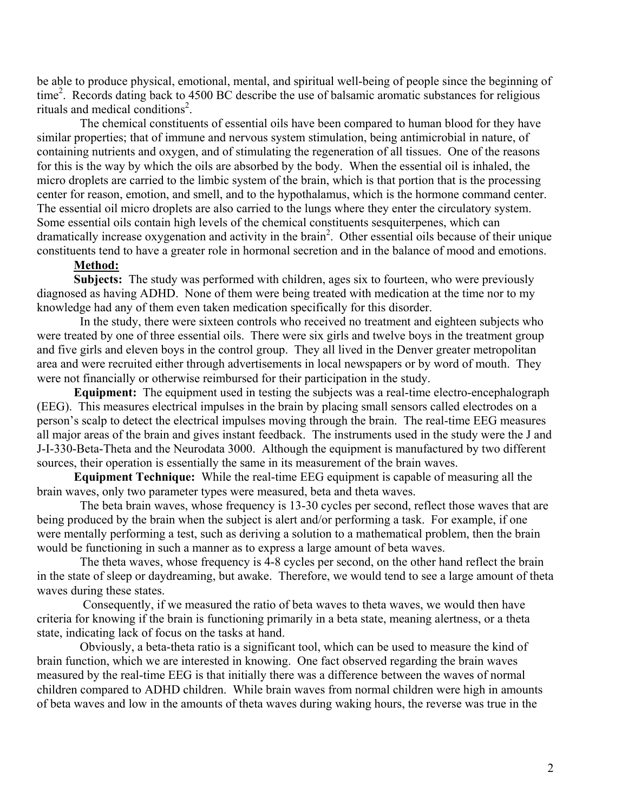be able to produce physical, emotional, mental, and spiritual well-being of people since the beginning of time 2 . Records dating back to 4500 BC describe the use of balsamic aromatic substances for religious rituals and medical conditions<sup>2</sup>.

 The chemical constituents of essential oils have been compared to human blood for they have similar properties; that of immune and nervous system stimulation, being antimicrobial in nature, of containing nutrients and oxygen, and of stimulating the regeneration of all tissues. One of the reasons for this is the way by which the oils are absorbed by the body. When the essential oil is inhaled, the micro droplets are carried to the limbic system of the brain, which is that portion that is the processing center for reason, emotion, and smell, and to the hypothalamus, which is the hormone command center. The essential oil micro droplets are also carried to the lungs where they enter the circulatory system. Some essential oils contain high levels of the chemical constituents sesquiterpenes, which can dramatically increase oxygenation and activity in the brain<sup>2</sup>. Other essential oils because of their unique constituents tend to have a greater role in hormonal secretion and in the balance of mood and emotions.

### **Method:**

**Subjects:** The study was performed with children, ages six to fourteen, who were previously diagnosed as having ADHD. None of them were being treated with medication at the time nor to my knowledge had any of them even taken medication specifically for this disorder.

 In the study, there were sixteen controls who received no treatment and eighteen subjects who were treated by one of three essential oils. There were six girls and twelve boys in the treatment group and five girls and eleven boys in the control group. They all lived in the Denver greater metropolitan area and were recruited either through advertisements in local newspapers or by word of mouth. They were not financially or otherwise reimbursed for their participation in the study.

**Equipment:** The equipment used in testing the subjects was a real-time electro-encephalograph (EEG). This measures electrical impulses in the brain by placing small sensors called electrodes on a person's scalp to detect the electrical impulses moving through the brain. The real-time EEG measures all major areas of the brain and gives instant feedback. The instruments used in the study were the J and J-I-330-Beta-Theta and the Neurodata 3000. Although the equipment is manufactured by two different sources, their operation is essentially the same in its measurement of the brain waves.

**Equipment Technique:** While the real-time EEG equipment is capable of measuring all the brain waves, only two parameter types were measured, beta and theta waves.

 The beta brain waves, whose frequency is 13-30 cycles per second, reflect those waves that are being produced by the brain when the subject is alert and/or performing a task. For example, if one were mentally performing a test, such as deriving a solution to a mathematical problem, then the brain would be functioning in such a manner as to express a large amount of beta waves.

 The theta waves, whose frequency is 4-8 cycles per second, on the other hand reflect the brain in the state of sleep or daydreaming, but awake. Therefore, we would tend to see a large amount of theta waves during these states.

 Consequently, if we measured the ratio of beta waves to theta waves, we would then have criteria for knowing if the brain is functioning primarily in a beta state, meaning alertness, or a theta state, indicating lack of focus on the tasks at hand.

 Obviously, a beta-theta ratio is a significant tool, which can be used to measure the kind of brain function, which we are interested in knowing. One fact observed regarding the brain waves measured by the real-time EEG is that initially there was a difference between the waves of normal children compared to ADHD children. While brain waves from normal children were high in amounts of beta waves and low in the amounts of theta waves during waking hours, the reverse was true in the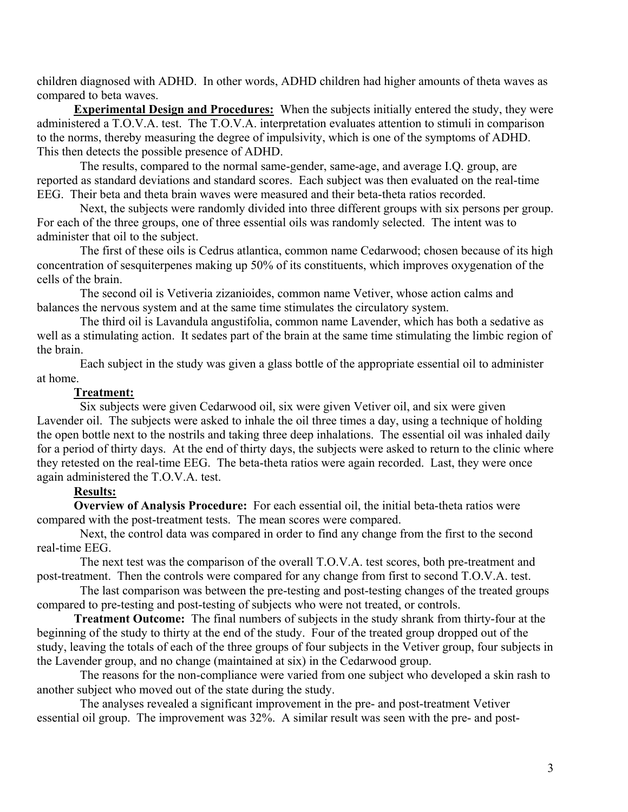children diagnosed with ADHD. In other words, ADHD children had higher amounts of theta waves as compared to beta waves.

**Experimental Design and Procedures:** When the subjects initially entered the study, they were administered a T.O.V.A. test. The T.O.V.A. interpretation evaluates attention to stimuli in comparison to the norms, thereby measuring the degree of impulsivity, which is one of the symptoms of ADHD. This then detects the possible presence of ADHD.

 The results, compared to the normal same-gender, same-age, and average I.Q. group, are reported as standard deviations and standard scores. Each subject was then evaluated on the real-time EEG. Their beta and theta brain waves were measured and their beta-theta ratios recorded.

 Next, the subjects were randomly divided into three different groups with six persons per group. For each of the three groups, one of three essential oils was randomly selected. The intent was to administer that oil to the subject.

 The first of these oils is Cedrus atlantica, common name Cedarwood; chosen because of its high concentration of sesquiterpenes making up 50% of its constituents, which improves oxygenation of the cells of the brain.

 The second oil is Vetiveria zizanioides, common name Vetiver, whose action calms and balances the nervous system and at the same time stimulates the circulatory system.

 The third oil is Lavandula angustifolia, common name Lavender, which has both a sedative as well as a stimulating action. It sedates part of the brain at the same time stimulating the limbic region of the brain.

 Each subject in the study was given a glass bottle of the appropriate essential oil to administer at home.

## **Treatment:**

 Six subjects were given Cedarwood oil, six were given Vetiver oil, and six were given Lavender oil. The subjects were asked to inhale the oil three times a day, using a technique of holding the open bottle next to the nostrils and taking three deep inhalations. The essential oil was inhaled daily for a period of thirty days. At the end of thirty days, the subjects were asked to return to the clinic where they retested on the real-time EEG. The beta-theta ratios were again recorded. Last, they were once again administered the T.O.V.A. test.

## **Results:**

**Overview of Analysis Procedure:** For each essential oil, the initial beta-theta ratios were compared with the post-treatment tests. The mean scores were compared.

 Next, the control data was compared in order to find any change from the first to the second real-time EEG.

 The next test was the comparison of the overall T.O.V.A. test scores, both pre-treatment and post-treatment. Then the controls were compared for any change from first to second T.O.V.A. test.

 The last comparison was between the pre-testing and post-testing changes of the treated groups compared to pre-testing and post-testing of subjects who were not treated, or controls.

**Treatment Outcome:** The final numbers of subjects in the study shrank from thirty-four at the beginning of the study to thirty at the end of the study. Four of the treated group dropped out of the study, leaving the totals of each of the three groups of four subjects in the Vetiver group, four subjects in the Lavender group, and no change (maintained at six) in the Cedarwood group.

 The reasons for the non-compliance were varied from one subject who developed a skin rash to another subject who moved out of the state during the study.

 The analyses revealed a significant improvement in the pre- and post-treatment Vetiver essential oil group. The improvement was 32%. A similar result was seen with the pre- and post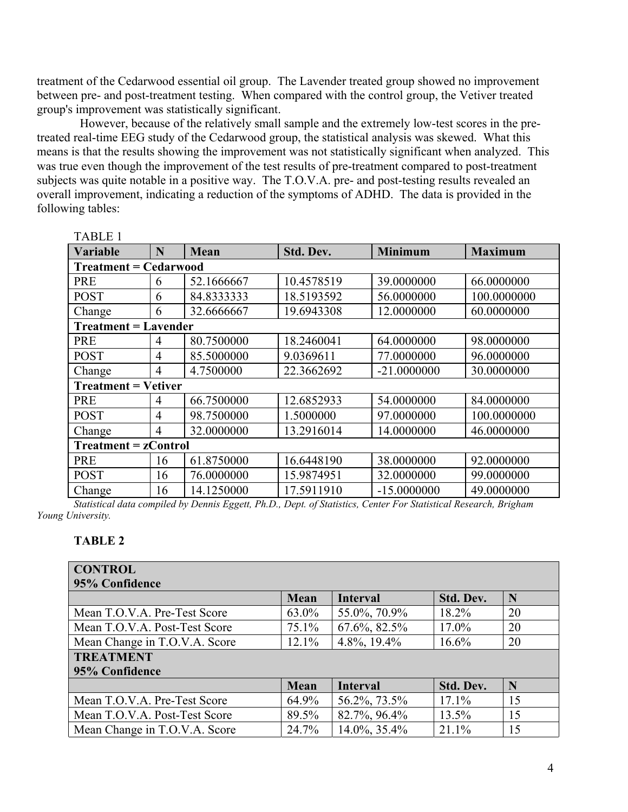treatment of the Cedarwood essential oil group. The Lavender treated group showed no improvement between pre- and post-treatment testing. When compared with the control group, the Vetiver treated group's improvement was statistically significant.

 However, because of the relatively small sample and the extremely low-test scores in the pretreated real-time EEG study of the Cedarwood group, the statistical analysis was skewed. What this means is that the results showing the improvement was not statistically significant when analyzed. This was true even though the improvement of the test results of pre-treatment compared to post-treatment subjects was quite notable in a positive way. The T.O.V.A. pre- and post-testing results revealed an overall improvement, indicating a reduction of the symptoms of ADHD. The data is provided in the following tables:

| 1 ADU 21<br>Variable         | N              | <b>Mean</b> | Std. Dev.  | <b>Minimum</b> | <b>Maximum</b> |  |  |  |  |
|------------------------------|----------------|-------------|------------|----------------|----------------|--|--|--|--|
| <b>Treatment = Cedarwood</b> |                |             |            |                |                |  |  |  |  |
| <b>PRE</b>                   | 6              | 52.1666667  | 10.4578519 | 39.0000000     | 66.0000000     |  |  |  |  |
| <b>POST</b>                  | 6              | 84.8333333  | 18.5193592 | 56.0000000     | 100.0000000    |  |  |  |  |
| Change                       | 6              | 32.6666667  | 19.6943308 | 12.0000000     | 60.0000000     |  |  |  |  |
| <b>Treatment = Lavender</b>  |                |             |            |                |                |  |  |  |  |
| <b>PRE</b>                   | 4              | 80.7500000  | 18.2460041 | 64.0000000     | 98.0000000     |  |  |  |  |
| <b>POST</b>                  | $\overline{4}$ | 85.5000000  | 9.0369611  | 77.0000000     | 96.0000000     |  |  |  |  |
| Change                       | $\overline{4}$ | 4.7500000   | 22.3662692 | $-21.0000000$  | 30.0000000     |  |  |  |  |
| <b>Treatment = Vetiver</b>   |                |             |            |                |                |  |  |  |  |
| <b>PRE</b>                   | $\overline{4}$ | 66.7500000  | 12.6852933 | 54.0000000     | 84.0000000     |  |  |  |  |
| <b>POST</b>                  | 4              | 98.7500000  | 1.5000000  | 97.0000000     | 100.0000000    |  |  |  |  |
| Change                       | $\overline{4}$ | 32.0000000  | 13.2916014 | 14.0000000     | 46.0000000     |  |  |  |  |
| $Treatment = zControl$       |                |             |            |                |                |  |  |  |  |
| <b>PRE</b>                   | 16             | 61.8750000  | 16.6448190 | 38.0000000     | 92.0000000     |  |  |  |  |
| <b>POST</b>                  | 16             | 76.0000000  | 15.9874951 | 32.0000000     | 99.0000000     |  |  |  |  |
| Change                       | 16             | 14.1250000  | 17.5911910 | $-15.0000000$  | 49.0000000     |  |  |  |  |

*Statistical data compiled by Dennis Eggett, Ph.D., Dept. of Statistics, Center For Statistical Research, Brigham Young University.* 

# **TABLE 2**

TABLE 1

| <b>CONTROL</b>                |          |                  |           |    |  |  |  |  |  |
|-------------------------------|----------|------------------|-----------|----|--|--|--|--|--|
| 95% Confidence                |          |                  |           |    |  |  |  |  |  |
|                               | Mean     | <b>Interval</b>  | Std. Dev. | N  |  |  |  |  |  |
| Mean T.O.V.A. Pre-Test Score  | 63.0%    | 55.0%, 70.9%     | 18.2%     | 20 |  |  |  |  |  |
| Mean T.O.V.A. Post-Test Score | $75.1\%$ | $67.6\%$ , 82.5% | $17.0\%$  | 20 |  |  |  |  |  |
| Mean Change in T.O.V.A. Score | 12.1%    | 4.8%, 19.4%      | 16.6%     | 20 |  |  |  |  |  |
| <b>TREATMENT</b>              |          |                  |           |    |  |  |  |  |  |
| 95% Confidence                |          |                  |           |    |  |  |  |  |  |
|                               | Mean     | <b>Interval</b>  | Std. Dev. | N  |  |  |  |  |  |
| Mean T.O.V.A. Pre-Test Score  | 64.9%    | 56.2%, 73.5%     | 17.1%     | 15 |  |  |  |  |  |
| Mean T.O.V.A. Post-Test Score | 89.5%    | 82.7%, 96.4%     | 13.5%     | 15 |  |  |  |  |  |
| Mean Change in T.O.V.A. Score | 24.7%    | 14.0%, 35.4%     | 21.1%     | 15 |  |  |  |  |  |